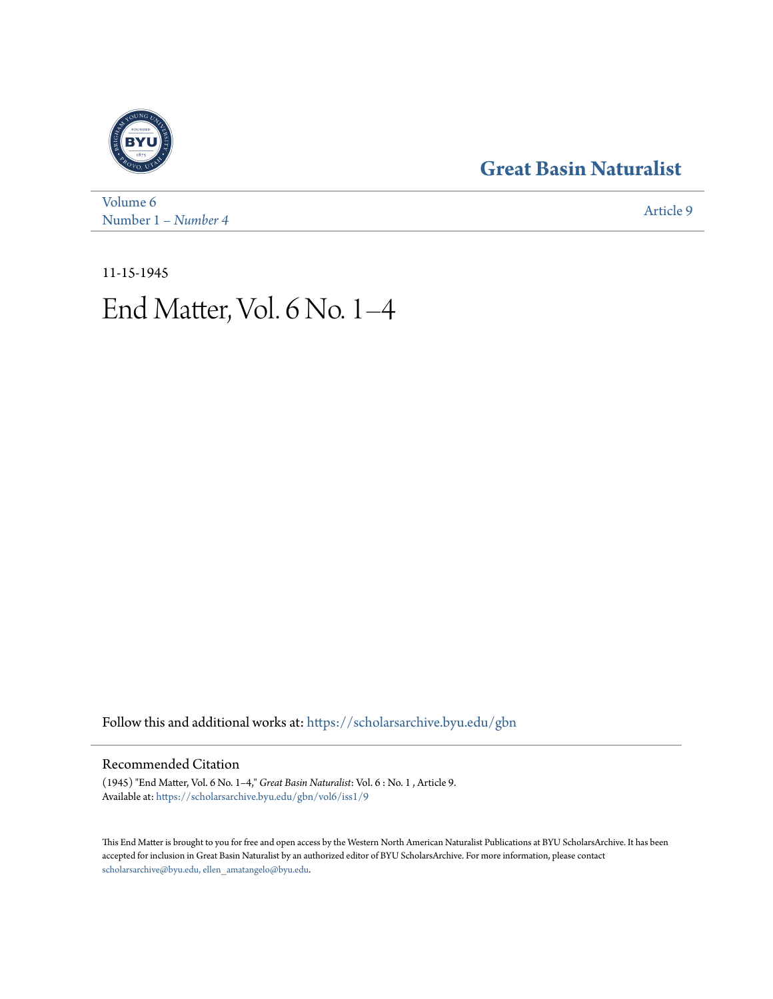## **[Great Basin Naturalist](https://scholarsarchive.byu.edu/gbn?utm_source=scholarsarchive.byu.edu%2Fgbn%2Fvol6%2Fiss1%2F9&utm_medium=PDF&utm_campaign=PDFCoverPages)**



[Volume 6](https://scholarsarchive.byu.edu/gbn/vol6?utm_source=scholarsarchive.byu.edu%2Fgbn%2Fvol6%2Fiss1%2F9&utm_medium=PDF&utm_campaign=PDFCoverPages) Number 1 [– Number 4](https://scholarsarchive.byu.edu/gbn/vol6/iss1?utm_source=scholarsarchive.byu.edu%2Fgbn%2Fvol6%2Fiss1%2F9&utm_medium=PDF&utm_campaign=PDFCoverPages) **[Article 9](https://scholarsarchive.byu.edu/gbn/vol6/iss1/9?utm_source=scholarsarchive.byu.edu%2Fgbn%2Fvol6%2Fiss1%2F9&utm_medium=PDF&utm_campaign=PDFCoverPages)** 

11-15-1945 End Matter, Vol. 6 No. 1–4

Follow this and additional works at: [https://scholarsarchive.byu.edu/gbn](https://scholarsarchive.byu.edu/gbn?utm_source=scholarsarchive.byu.edu%2Fgbn%2Fvol6%2Fiss1%2F9&utm_medium=PDF&utm_campaign=PDFCoverPages)

### Recommended Citation

(1945) "End Matter, Vol. 6 No. 1–4," *Great Basin Naturalist*: Vol. 6 : No. 1 , Article 9. Available at: [https://scholarsarchive.byu.edu/gbn/vol6/iss1/9](https://scholarsarchive.byu.edu/gbn/vol6/iss1/9?utm_source=scholarsarchive.byu.edu%2Fgbn%2Fvol6%2Fiss1%2F9&utm_medium=PDF&utm_campaign=PDFCoverPages)

This End Matter is brought to you for free and open access by the Western North American Naturalist Publications at BYU ScholarsArchive. It has been accepted for inclusion in Great Basin Naturalist by an authorized editor of BYU ScholarsArchive. For more information, please contact [scholarsarchive@byu.edu, ellen\\_amatangelo@byu.edu.](mailto:scholarsarchive@byu.edu,%20ellen_amatangelo@byu.edu)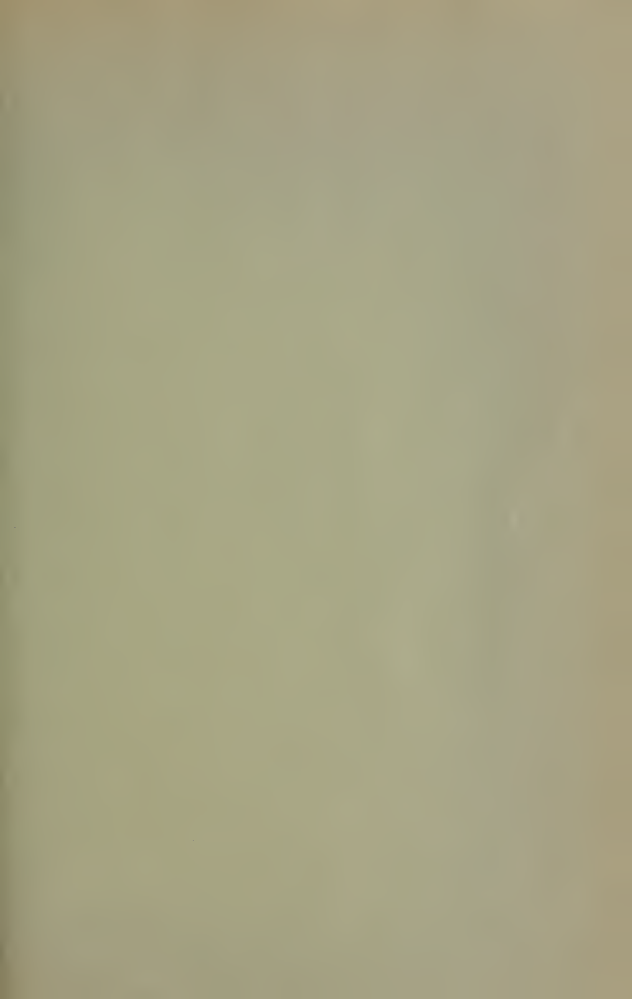